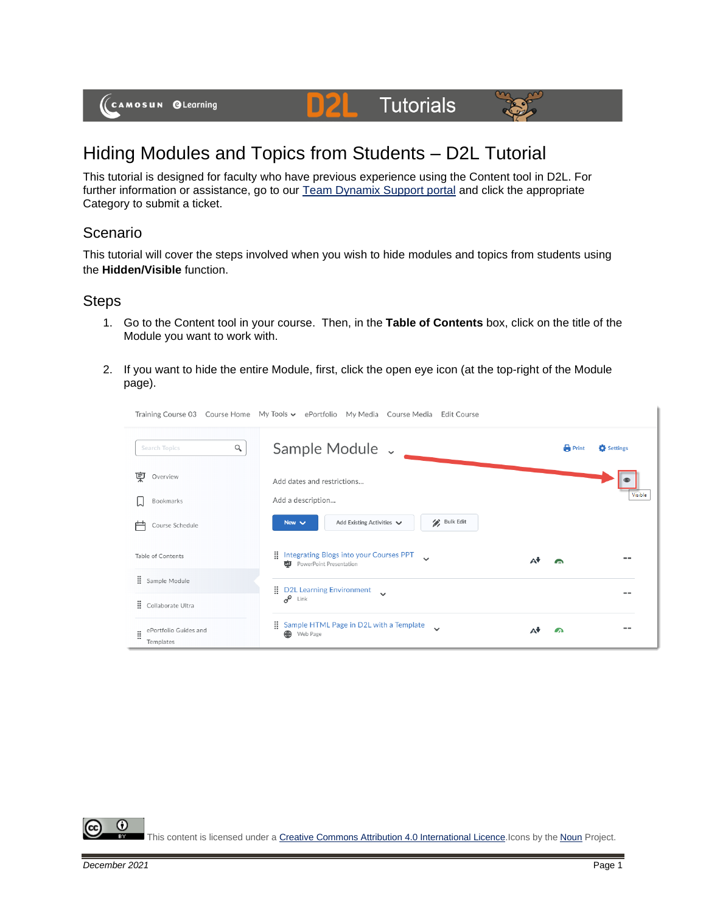(CAMOSUN @Learning

## Hiding Modules and Topics from Students – D2L Tutorial

This tutorial is designed for faculty who have previous experience using the Content tool in D2L. For further information or assistance, go to our **Team Dynamix Support portal** and click the appropriate Category to submit a ticket.

DZI

Tutorials

## Scenario

This tutorial will cover the steps involved when you wish to hide modules and topics from students using the **Hidden/Visible** function.

## Steps

- 1. Go to the Content tool in your course. Then, in the **Table of Contents** box, click on the title of the Module you want to work with.
- 2. If you want to hide the entire Module, first, click the open eye icon (at the top-right of the Module page).



This content is licensed under [a Creative Commons Attribution 4.0 International Licence.I](https://creativecommons.org/licenses/by/4.0/)cons by the [Noun](https://creativecommons.org/website-icons/) Project.

0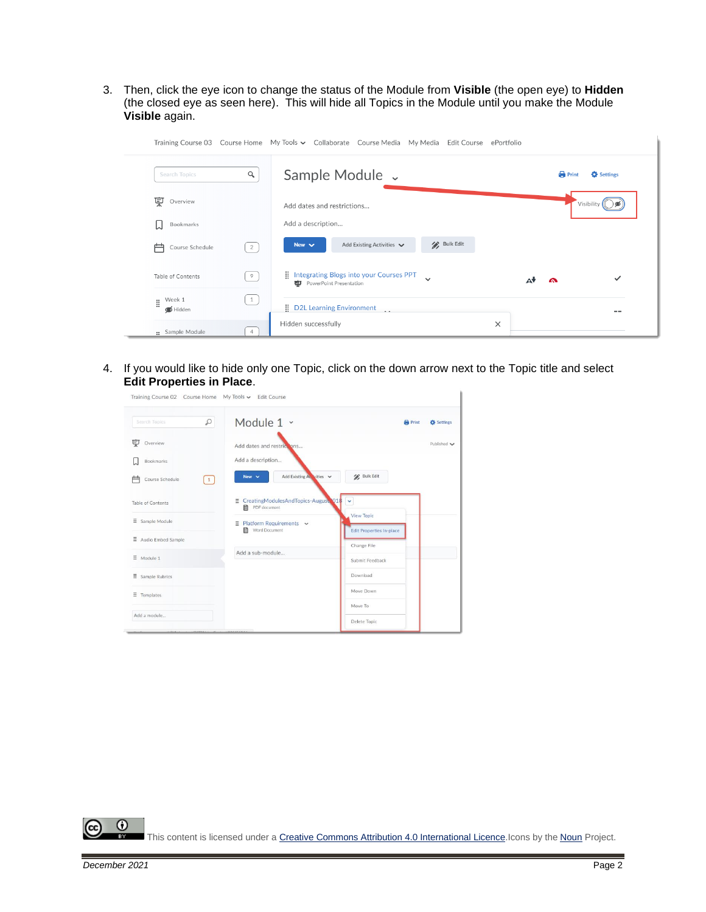3. Then, click the eye icon to change the status of the Module from **Visible** (the open eye) to **Hidden** (the closed eye as seen here). This will hide all Topics in the Module until you make the Module **Visible** again.

| Search Topics            | $\alpha$ | Sample Module v                                                                              | <b>Print</b><br><b>D</b> Settings |
|--------------------------|----------|----------------------------------------------------------------------------------------------|-----------------------------------|
| 宲<br>Overview            |          | Add dates and restrictions                                                                   | Visibility (                      |
| Bookmarks<br>u           |          | Add a description                                                                            |                                   |
| 户<br>Course Schedule     | 2        | / Bulk Edit<br>Add Existing Activities<br>New $\vee$                                         |                                   |
| Table of Contents        | 9        | Integrating Blogs into your Courses PPT<br>$\checkmark$<br><b>DU</b> PowerPoint Presentation | $\checkmark$<br>A<br>ω            |
| Week 1<br>Ħ.<br>S Hidden | 1        | D2L Learning Environment                                                                     |                                   |

4. If you would like to hide only one Topic, click on the down arrow next to the Topic title and select **Edit Properties in Place**.

| Search Topics            | $\varphi$                         | Module 1 ~<br><b>Print</b>                                      | Settings           |
|--------------------------|-----------------------------------|-----------------------------------------------------------------|--------------------|
| 叓<br>Overview            |                                   | Add dates and restrictions                                      | Published $\smile$ |
| Bookmarks                |                                   | Add a description                                               |                    |
| Course Schedule          | $\begin{pmatrix} 1 \end{pmatrix}$ | <b>Bulk Edit</b><br>Add Existing Act vities<br>New $\sim$       |                    |
| Table of Contents        |                                   | E CreatingModulesAndTopics-August 018 ~<br>目 PDF document       |                    |
| $\equiv$ Sample Module   |                                   | View Topic<br>$\equiv$ Platform Requirements $\sim$             |                    |
| $\Xi$ Audio Embed Sample |                                   | Word Document<br><b>Edit Properties In-place</b><br>Change File |                    |
| $\equiv$ Module 1        |                                   | Add a sub-module<br>Submit Feedback                             |                    |
| $\Xi$ Sample Rubrics     |                                   | Download                                                        |                    |
| Ξ<br>Templates           |                                   | Move Down                                                       |                    |
|                          |                                   | Move To                                                         |                    |
| Add a module             |                                   | Delete Topic                                                    |                    |

 $\odot$ This content is licensed under [a Creative Commons Attribution 4.0 International Licence.I](https://creativecommons.org/licenses/by/4.0/)cons by the [Noun](https://creativecommons.org/website-icons/) Project.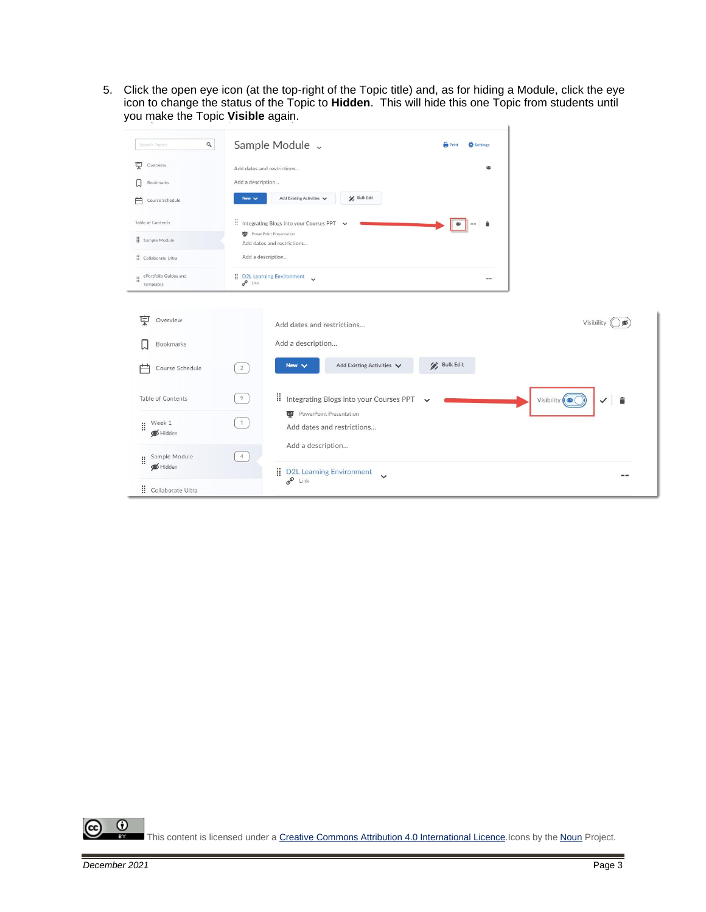5. Click the open eye icon (at the top-right of the Topic title) and, as for hiding a Module, click the eye icon to change the status of the Topic to **Hidden**. This will hide this one Topic from students until you make the Topic **Visible** again. $\mathbf{I}$ 

| $\hbox{\tt Q}$<br>Search Topics                                    | Sample Module v<br><b>Print</b><br>Settings                                                                                                                                              |
|--------------------------------------------------------------------|------------------------------------------------------------------------------------------------------------------------------------------------------------------------------------------|
| <b>東</b> Overview<br>Bookmarks<br>IJ<br>Course Schedule<br>户       | Add dates and restrictions<br><b>OD</b><br>Add a description<br><b>Bulk Edit</b><br>Add Existing Activities V<br>New $\vee$                                                              |
| Table of Contents<br>Sample Module<br>Collaborate Ultra            | Il Integrating Blogs into your Courses PPT<br><b>D</b> PowerPoint Presentation<br>Add dates and restrictions<br>Add a description                                                        |
| ePortfolio Guides and<br>Templates                                 | D2L Learning Environment<br>$-1$<br>$e^{\rho}$ Link                                                                                                                                      |
| 冥<br>Overview<br><b>Bookmarks</b><br>Course Schedule               | Visibility<br>Add dates and restrictions<br>Add a description<br><b>Bulk Edit</b><br>Add Existing Activities<br>New $\vee$<br>$\overline{2}$                                             |
| Table of Contents<br>$\parallel$ Week 1<br>Hidden<br>Sample Module | II Integrating Blogs into your Courses PPT<br>$\overline{9}$<br>Visibility $($<br><b>D</b> PowerPoint Presentation<br>1<br>Add dates and restrictions<br>Add a description<br>$\sqrt{4}$ |
| Ħ.<br>Hidden<br>: Collaborate Ultra                                | D2L Learning Environment<br>--<br>$e^{\theta}$ Link                                                                                                                                      |

 $\overline{0}$ (cc This content is licensed under [a Creative Commons Attribution 4.0 International Licence.I](https://creativecommons.org/licenses/by/4.0/)cons by the [Noun](https://creativecommons.org/website-icons/) Project.